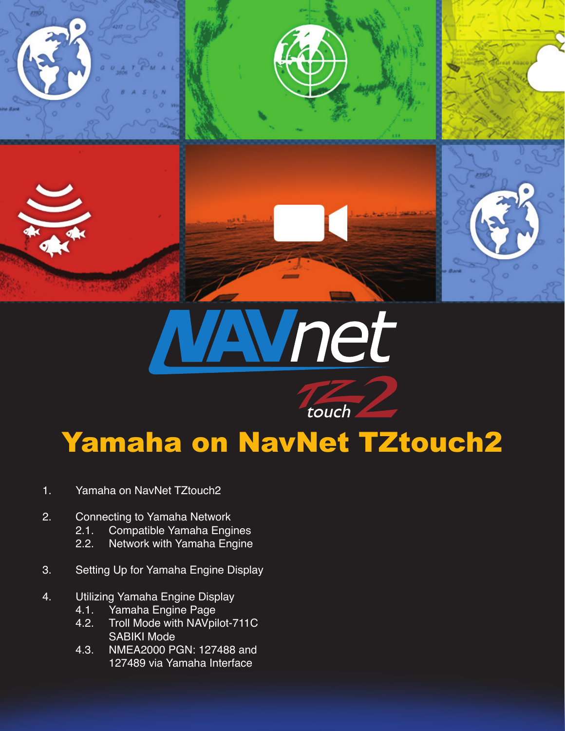

# ret

# Yamaha on NavNet TZtouch2

touch

- 1. Yamaha on NavNet TZtouch2
- 2. Connecting to Yamaha Network
	- 2.1. Compatible Yamaha Engines<br>2.2. Network with Yamaha Engine
	- Network with Yamaha Engine
- 3. Setting Up for Yamaha Engine Display
- 4. Utilizing Yamaha Engine Display
	- 4.1. Yamaha Engine Page<br>4.2. Troll Mode with NAVpil
	- Troll Mode with NAVpilot-711C SABIKI Mode<br>4.3. NMEA2000 P
	- 4.3. NMEA2000 PGN: 127488 and 127489 via Yamaha Interface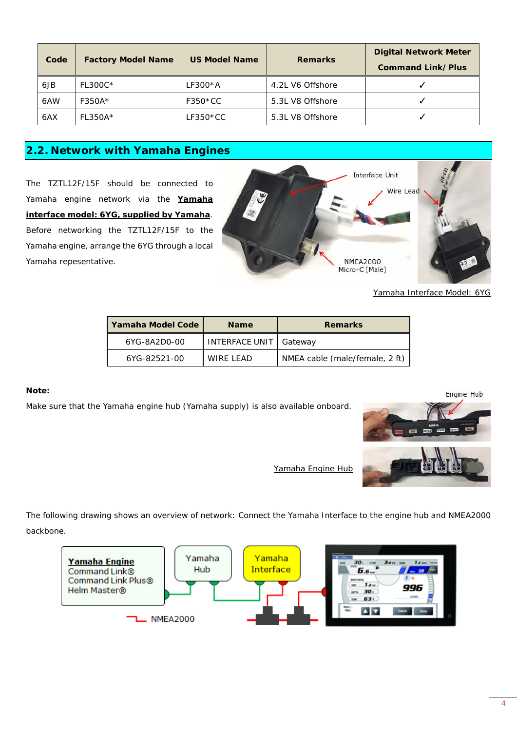| Code | <b>Factory Model Name</b>                 | <b>US Model Name</b> | <b>Remarks</b>   | <b>Digital Network Meter</b><br><b>Command Link/Plus</b> |
|------|-------------------------------------------|----------------------|------------------|----------------------------------------------------------|
| 6JB  | FL300C*                                   | $LF300*A$            | 4.2L V6 Offshore |                                                          |
| 6AW  | F350A*                                    | $F350*CC$            | 5.3L V8 Offshore |                                                          |
| 6AX  | $FL350A*$                                 | $LF350*CC$           | 5.3L V8 Offshore |                                                          |
|      | $\sim$ $\sim$ $\sim$ $\sim$ $\sim$ $\sim$ | .                    |                  |                                                          |

 $*$  = any letter at this position

#### **2.2. Network with Yamaha Engines**

The TZTL12F/15F should be connected to Yamaha engine network via the **Yamaha interface model: 6YG, supplied by Yamaha**. Before networking the TZTL12F/15F to the Yamaha engine, arrange the 6YG through a local Yamaha repesentative.



*Yamaha Interface Model: 6YG*

| Yamaha Model Code | <b>Name</b>    | <b>Remarks</b>                 |
|-------------------|----------------|--------------------------------|
| 6YG-8A2D0-00      | INTERFACE UNIT | Gatewav                        |
| 6YG-82521-00      | WIRE LEAD      | NMEA cable (male/female, 2 ft) |

#### **Note:**

Make sure that the Yamaha engine hub (Yamaha supply) is also available onboard.



*Yamaha Engine Hub*

The following drawing shows an overview of network: Connect the Yamaha Interface to the engine hub and NMEA2000 backbone.

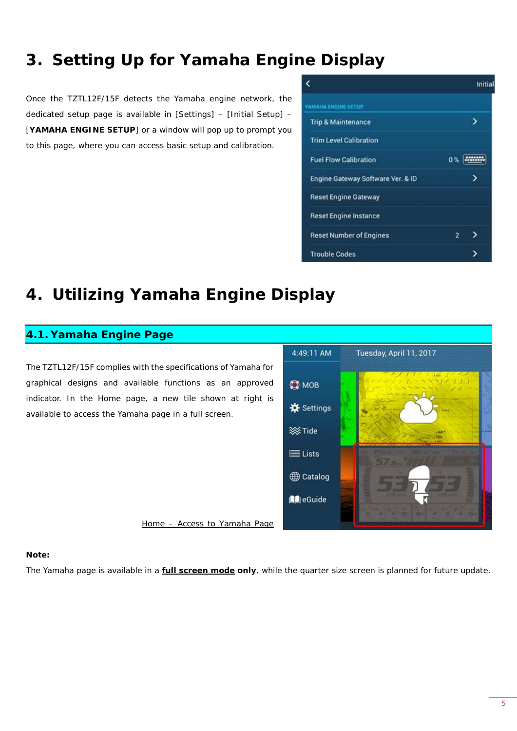## **3. Setting Up for Yamaha Engine Display**

Once the TZTL12F/15F detects the Yamaha engine network, the dedicated setup page is available in [Settings] – [Initial Setup] – [**YAMAHA ENGINE SETUP**] or a window will pop up to prompt you to this page, where you can access basic setup and calibration.

| c                                 |    | Initial |
|-----------------------------------|----|---------|
| <b>AMAHA ENGINE SETUP</b>         |    |         |
| <b>Trip &amp; Maintenance</b>     |    |         |
| <b>Trim Level Calibration</b>     |    |         |
| <b>Fuel Flow Calibration</b>      | 0% |         |
| Engine Gateway Software Ver. & ID |    |         |
| <b>Reset Engine Gateway</b>       |    |         |
| <b>Reset Engine Instance</b>      |    |         |
| <b>Reset Number of Engines</b>    | 2  |         |
| <b>Trouble Codes</b>              |    |         |

### **4. Utilizing Yamaha Engine Display**

#### **4.1. Yamaha Engine Page**

The TZTL12F/15F complies with the specifications of Yamaha for graphical designs and available functions as an approved indicator. In the Home page, a new tile shown at right is available to access the Yamaha page in a full screen.



#### **Note:**

The Yamaha page is available in a **full screen mode only**, while the quarter size screen is planned for future update.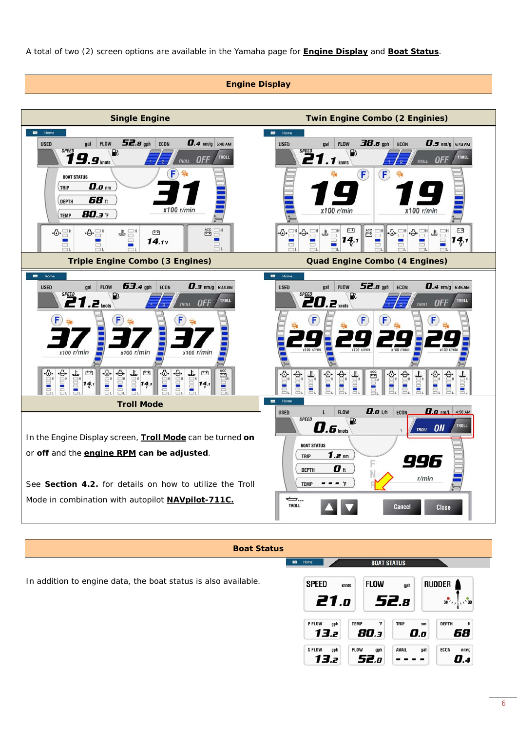A total of two (2) screen options are available in the Yamaha page for **Engine Display** and **Boat Status**.



#### **Boat Status**

**EB** Home

**BOAT STATUS** 

In addition to engine data, the boat status is also available.

| SPEED<br>21.0               | <b>FLOW</b><br>knots       | gph<br>52.a        |     | <b>RUDDER</b><br>$\frac{1}{30}$<br>$30'$ , |
|-----------------------------|----------------------------|--------------------|-----|--------------------------------------------|
| P FLOW<br>gph<br>13.z       | <b>TEMP</b><br>°F<br>80.3  | <b>TRIP</b><br>0.o | nm  | <b>DEPTH</b><br>#<br>68                    |
| <b>SFLOW</b><br>gph<br>13.2 | <b>FLOW</b><br>gph<br>52.a | <b>AVAIL</b>       | gal | <b>ECON</b><br>nm/q<br>l 4                 |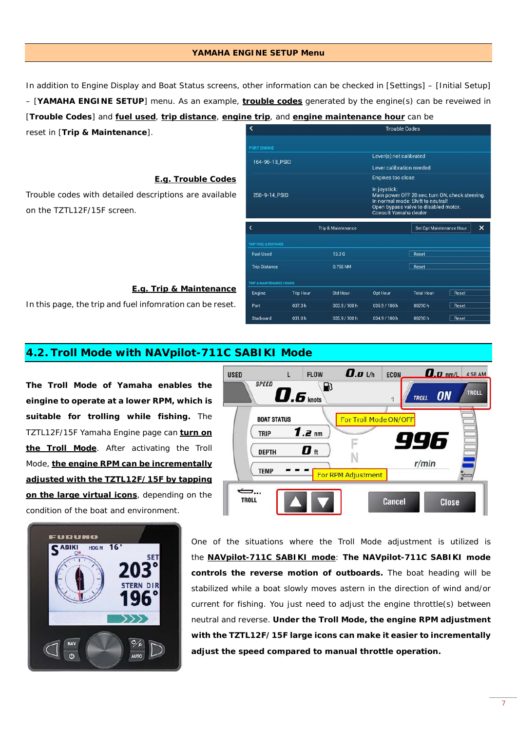In addition to Engine Display and Boat Status screens, other information can be checked in [Settings] – [Initial Setup] – [**YAMAHA ENGINE SETUP**] menu. As an example, **trouble codes** generated by the engine(s) can be reveiwed in [**Trouble Codes**] and **fuel used**, **trip distance**, **engine trip**, and **engine maintenance hour** can be **Trouble Codes** reset in [**Trip & Maintenance**].

Port

Starboard

037.3h

031.0h

**YAMAHA ENGINE SETUP Menu**

**E.g. Trouble Codes**

Trouble codes with detailed descriptions are available on the TZTL12F/15F screen.

#### **E.g. Trip & Maintenance**

In this page, the trip and fuel infomration can be reset.

#### **4.2. Troll Mode with NAVpilot-711C SABIKI Mode**

**The Troll Mode of Yamaha enables the eingine to operate at a lower RPM, which is suitable for trolling while fishing.** The TZTL12F/15F Yamaha Engine page can **turn on the Troll Mode**. After activating the Troll Mode, **the engine RPM can be incrementally adjusted with the TZTL12F/15F by tapping on the large virtual icons**, depending on the condition of the boat and environment.

> One of the situations where the Troll Mode adjustment is utilized is the **NAVpilot-711C SABIKI mode**: **The NAVpilot-711C SABIKI mode controls the reverse motion of outboards.** The boat heading will be stabilized while a boat slowly moves astern in the direction of wind and/or current for fishing. You just need to adjust the engine throttle(s) between neutral and reverse. **Under the Troll Mode, the engine RPM adjustment with the TZTL12F/15F large icons can make it easier to incrementally adjust the speed compared to manual throttle operation.**

> > 7





003.9 / 100 h

035.9 / 100 h

035.9 / 100 h

034.9 / 100 h

00210h

00210h

Reset

Reset